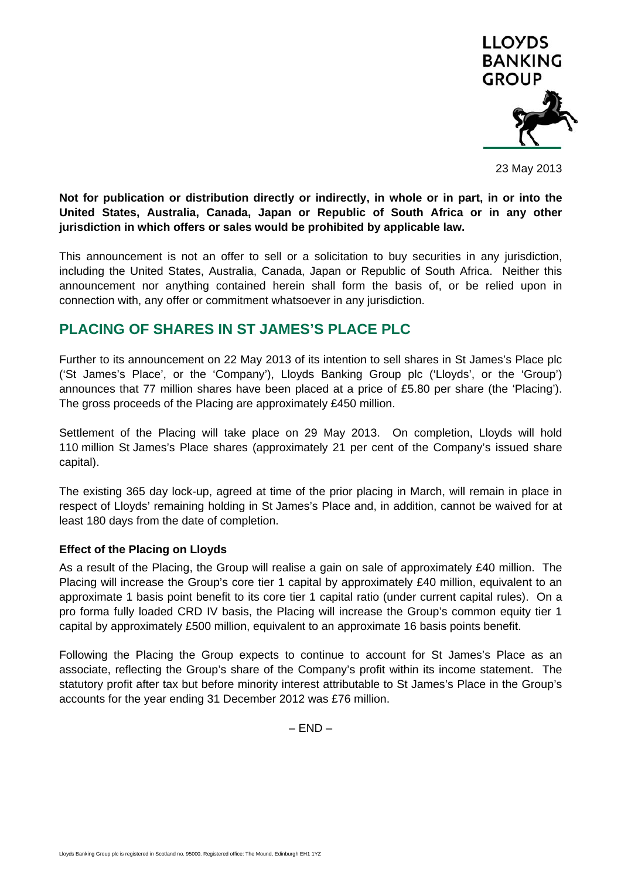

23 May 2013

**Not for publication or distribution directly or indirectly, in whole or in part, in or into the United States, Australia, Canada, Japan or Republic of South Africa or in any other jurisdiction in which offers or sales would be prohibited by applicable law.** 

This announcement is not an offer to sell or a solicitation to buy securities in any jurisdiction, including the United States, Australia, Canada, Japan or Republic of South Africa. Neither this announcement nor anything contained herein shall form the basis of, or be relied upon in connection with, any offer or commitment whatsoever in any jurisdiction.

## **PLACING OF SHARES IN ST JAMES'S PLACE PLC**

Further to its announcement on 22 May 2013 of its intention to sell shares in St James's Place plc ('St James's Place', or the 'Company'), Lloyds Banking Group plc ('Lloyds', or the 'Group') announces that 77 million shares have been placed at a price of £5.80 per share (the 'Placing'). The gross proceeds of the Placing are approximately £450 million.

Settlement of the Placing will take place on 29 May 2013. On completion, Lloyds will hold 110 million St James's Place shares (approximately 21 per cent of the Company's issued share capital).

The existing 365 day lock-up, agreed at time of the prior placing in March, will remain in place in respect of Lloyds' remaining holding in St James's Place and, in addition, cannot be waived for at least 180 days from the date of completion.

## **Effect of the Placing on Lloyds**

As a result of the Placing, the Group will realise a gain on sale of approximately £40 million. The Placing will increase the Group's core tier 1 capital by approximately £40 million, equivalent to an approximate 1 basis point benefit to its core tier 1 capital ratio (under current capital rules). On a pro forma fully loaded CRD IV basis, the Placing will increase the Group's common equity tier 1 capital by approximately £500 million, equivalent to an approximate 16 basis points benefit.

Following the Placing the Group expects to continue to account for St James's Place as an associate, reflecting the Group's share of the Company's profit within its income statement. The statutory profit after tax but before minority interest attributable to St James's Place in the Group's accounts for the year ending 31 December 2012 was £76 million.

 $-$  END  $-$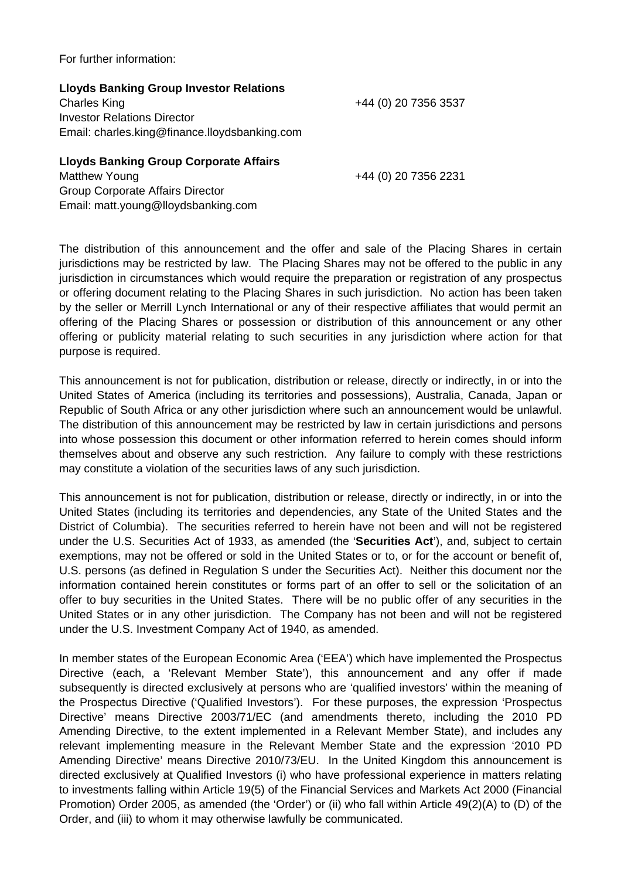For further information:

| <b>Lloyds Banking Group Investor Relations</b> |                      |
|------------------------------------------------|----------------------|
| <b>Charles King</b>                            | +44 (0) 20 7356 3537 |
| <b>Investor Relations Director</b>             |                      |
| Email: charles.king@finance.lloydsbanking.com  |                      |
|                                                |                      |

## **Lloyds Banking Group Corporate Affairs**  Matthew Young +44 (0) 20 7356 2231 Group Corporate Affairs Director Email: matt.young@lloydsbanking.com

The distribution of this announcement and the offer and sale of the Placing Shares in certain jurisdictions may be restricted by law. The Placing Shares may not be offered to the public in any jurisdiction in circumstances which would require the preparation or registration of any prospectus or offering document relating to the Placing Shares in such jurisdiction. No action has been taken by the seller or Merrill Lynch International or any of their respective affiliates that would permit an offering of the Placing Shares or possession or distribution of this announcement or any other offering or publicity material relating to such securities in any jurisdiction where action for that purpose is required.

This announcement is not for publication, distribution or release, directly or indirectly, in or into the United States of America (including its territories and possessions), Australia, Canada, Japan or Republic of South Africa or any other jurisdiction where such an announcement would be unlawful. The distribution of this announcement may be restricted by law in certain jurisdictions and persons into whose possession this document or other information referred to herein comes should inform themselves about and observe any such restriction. Any failure to comply with these restrictions may constitute a violation of the securities laws of any such jurisdiction.

This announcement is not for publication, distribution or release, directly or indirectly, in or into the United States (including its territories and dependencies, any State of the United States and the District of Columbia). The securities referred to herein have not been and will not be registered under the U.S. Securities Act of 1933, as amended (the '**Securities Act**'), and, subject to certain exemptions, may not be offered or sold in the United States or to, or for the account or benefit of, U.S. persons (as defined in Regulation S under the Securities Act). Neither this document nor the information contained herein constitutes or forms part of an offer to sell or the solicitation of an offer to buy securities in the United States. There will be no public offer of any securities in the United States or in any other jurisdiction. The Company has not been and will not be registered under the U.S. Investment Company Act of 1940, as amended.

In member states of the European Economic Area ('EEA') which have implemented the Prospectus Directive (each, a 'Relevant Member State'), this announcement and any offer if made subsequently is directed exclusively at persons who are 'qualified investors' within the meaning of the Prospectus Directive ('Qualified Investors'). For these purposes, the expression 'Prospectus Directive' means Directive 2003/71/EC (and amendments thereto, including the 2010 PD Amending Directive, to the extent implemented in a Relevant Member State), and includes any relevant implementing measure in the Relevant Member State and the expression '2010 PD Amending Directive' means Directive 2010/73/EU. In the United Kingdom this announcement is directed exclusively at Qualified Investors (i) who have professional experience in matters relating to investments falling within Article 19(5) of the Financial Services and Markets Act 2000 (Financial Promotion) Order 2005, as amended (the 'Order') or (ii) who fall within Article 49(2)(A) to (D) of the Order, and (iii) to whom it may otherwise lawfully be communicated.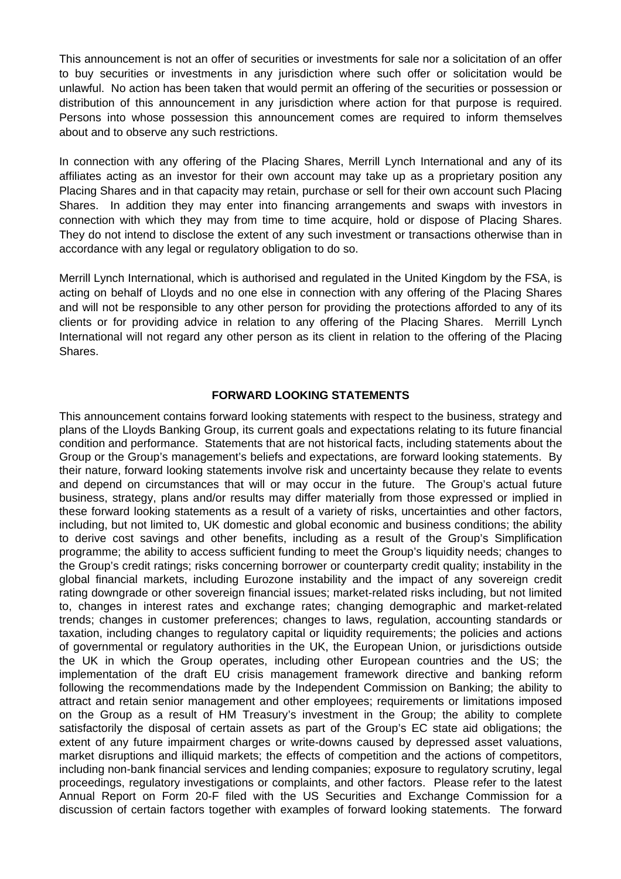This announcement is not an offer of securities or investments for sale nor a solicitation of an offer to buy securities or investments in any jurisdiction where such offer or solicitation would be unlawful. No action has been taken that would permit an offering of the securities or possession or distribution of this announcement in any jurisdiction where action for that purpose is required. Persons into whose possession this announcement comes are required to inform themselves about and to observe any such restrictions.

In connection with any offering of the Placing Shares, Merrill Lynch International and any of its affiliates acting as an investor for their own account may take up as a proprietary position any Placing Shares and in that capacity may retain, purchase or sell for their own account such Placing Shares. In addition they may enter into financing arrangements and swaps with investors in connection with which they may from time to time acquire, hold or dispose of Placing Shares. They do not intend to disclose the extent of any such investment or transactions otherwise than in accordance with any legal or regulatory obligation to do so.

Merrill Lynch International, which is authorised and regulated in the United Kingdom by the FSA, is acting on behalf of Lloyds and no one else in connection with any offering of the Placing Shares and will not be responsible to any other person for providing the protections afforded to any of its clients or for providing advice in relation to any offering of the Placing Shares. Merrill Lynch International will not regard any other person as its client in relation to the offering of the Placing Shares.

## **FORWARD LOOKING STATEMENTS**

This announcement contains forward looking statements with respect to the business, strategy and plans of the Lloyds Banking Group, its current goals and expectations relating to its future financial condition and performance. Statements that are not historical facts, including statements about the Group or the Group's management's beliefs and expectations, are forward looking statements. By their nature, forward looking statements involve risk and uncertainty because they relate to events and depend on circumstances that will or may occur in the future. The Group's actual future business, strategy, plans and/or results may differ materially from those expressed or implied in these forward looking statements as a result of a variety of risks, uncertainties and other factors, including, but not limited to, UK domestic and global economic and business conditions; the ability to derive cost savings and other benefits, including as a result of the Group's Simplification programme; the ability to access sufficient funding to meet the Group's liquidity needs; changes to the Group's credit ratings; risks concerning borrower or counterparty credit quality; instability in the global financial markets, including Eurozone instability and the impact of any sovereign credit rating downgrade or other sovereign financial issues; market-related risks including, but not limited to, changes in interest rates and exchange rates; changing demographic and market-related trends; changes in customer preferences; changes to laws, regulation, accounting standards or taxation, including changes to regulatory capital or liquidity requirements; the policies and actions of governmental or regulatory authorities in the UK, the European Union, or jurisdictions outside the UK in which the Group operates, including other European countries and the US; the implementation of the draft EU crisis management framework directive and banking reform following the recommendations made by the Independent Commission on Banking; the ability to attract and retain senior management and other employees; requirements or limitations imposed on the Group as a result of HM Treasury's investment in the Group; the ability to complete satisfactorily the disposal of certain assets as part of the Group's EC state aid obligations; the extent of any future impairment charges or write-downs caused by depressed asset valuations, market disruptions and illiquid markets; the effects of competition and the actions of competitors, including non-bank financial services and lending companies; exposure to regulatory scrutiny, legal proceedings, regulatory investigations or complaints, and other factors. Please refer to the latest Annual Report on Form 20-F filed with the US Securities and Exchange Commission for a discussion of certain factors together with examples of forward looking statements. The forward